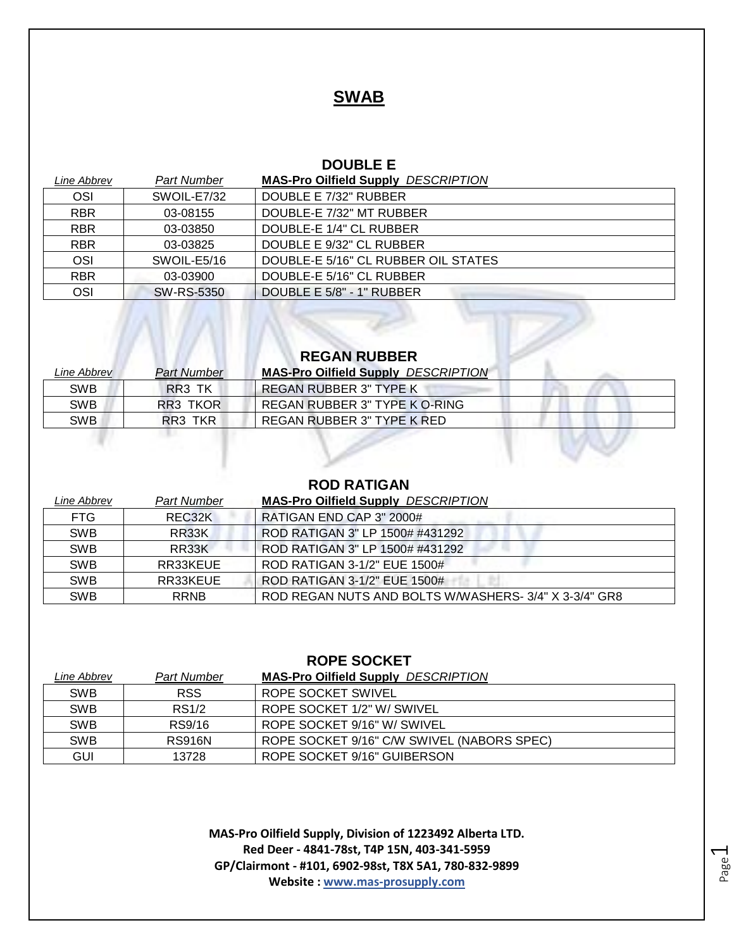### **SWAB**

#### **DOUBLE E**

| Line Abbrev | <b>Part Number</b> | <b>MAS-Pro Oilfield Supply DESCRIPTION</b> |
|-------------|--------------------|--------------------------------------------|
| OSI         | SWOIL-E7/32        | DOUBLE E 7/32" RUBBER                      |
| <b>RBR</b>  | 03-08155           | DOUBLE-E 7/32" MT RUBBER                   |
| <b>RBR</b>  | 03-03850           | DOUBLE-E 1/4" CL RUBBER                    |
| <b>RBR</b>  | 03-03825           | DOUBLE E 9/32" CL RUBBER                   |
| OSI         | SWOIL-E5/16        | DOUBLE-E 5/16" CL RUBBER OIL STATES        |
| <b>RBR</b>  | 03-03900           | DOUBLE-E 5/16" CL RUBBER                   |
| OSI         | SW-RS-5350         | DOUBLE E 5/8" - 1" RUBBER                  |

## **REGAN RUBBER**

 $\sqrt{2}$ 

n w

| Line Abbrev | <b>Part Number</b> | <b>MAS-Pro Oilfield Supply DESCRIPTION</b> |  |
|-------------|--------------------|--------------------------------------------|--|
| <b>SWB</b>  | RR3 TK             | REGAN RUBBER 3" TYPE K                     |  |
| <b>SWB</b>  | RR3 TKOR           | REGAN RUBBER 3" TYPE K O-RING              |  |
| <b>SWB</b>  | RR3 TKR            | REGAN RUBBER 3" TYPE K RED                 |  |

#### **ROD RATIGAN**

| Line Abbrev | <b>Part Number</b>  | <b>MAS-Pro Oilfield Supply DESCRIPTION</b>            |
|-------------|---------------------|-------------------------------------------------------|
| <b>FTG</b>  | REC <sub>32</sub> K | RATIGAN END CAP 3" 2000#                              |
| <b>SWB</b>  | RR33K               | ROD RATIGAN 3" LP 1500# #431292                       |
| <b>SWB</b>  | RR33K               | ROD RATIGAN 3" LP 1500# #431292                       |
| <b>SWB</b>  | RR33KEUE            | ROD RATIGAN 3-1/2" EUE 1500#                          |
| <b>SWB</b>  | RR33KEUE            | ROD RATIGAN 3-1/2" EUE 1500#                          |
| <b>SWB</b>  | <b>RRNB</b>         | ROD REGAN NUTS AND BOLTS W/WASHERS- 3/4" X 3-3/4" GR8 |

#### **ROPE SOCKET**

| Line Abbrev | <b>Part Number</b> | <b>MAS-Pro Oilfield Supply DESCRIPTION</b> |
|-------------|--------------------|--------------------------------------------|
| <b>SWB</b>  | <b>RSS</b>         | ROPE SOCKET SWIVEL                         |
| <b>SWB</b>  | RS1/2              | ROPE SOCKET 1/2" W/ SWIVEL                 |
| <b>SWB</b>  | RS9/16             | ROPE SOCKET 9/16" W/ SWIVEL                |
| <b>SWB</b>  | <b>RS916N</b>      | ROPE SOCKET 9/16" C/W SWIVEL (NABORS SPEC) |
| GUI         | 13728              | ROPE SOCKET 9/16" GUIBERSON                |

**MAS-Pro Oilfield Supply, Division of 1223492 Alberta LTD. Red Deer - 4841-78st, T4P 15N, 403-341-5959 GP/Clairmont - #101, 6902-98st, T8X 5A1, 780-832-9899 Website : www.mas-prosupply.com**

Page  $\overline{\phantom{0}}$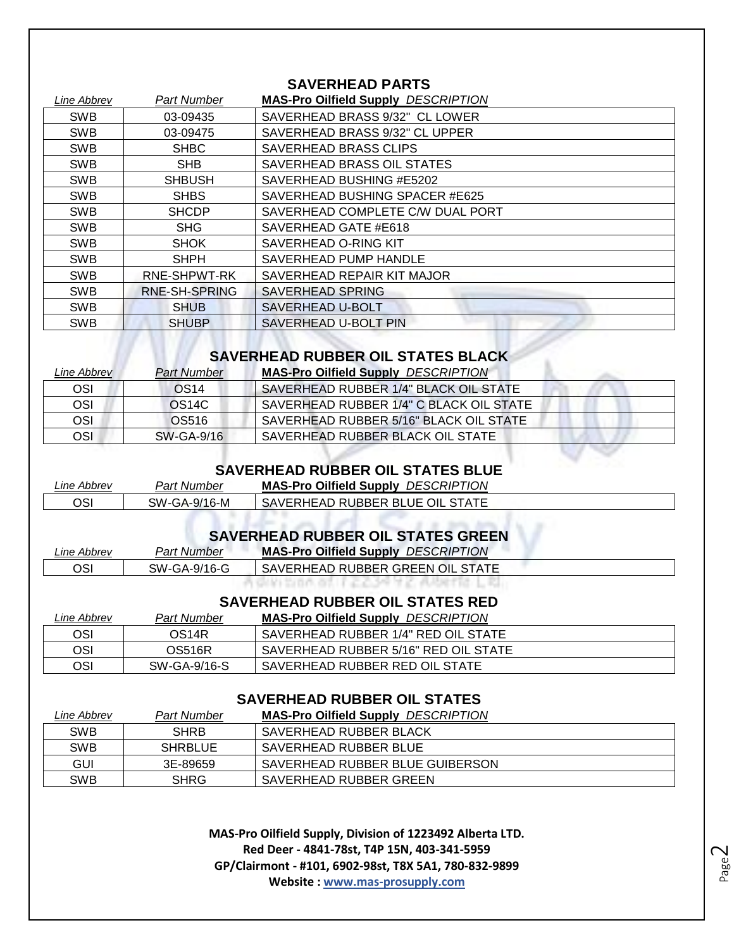#### **SAVERHEAD PARTS**

| Part Number   | <b>MAS-Pro Oilfield Supply DESCRIPTION</b> |  |
|---------------|--------------------------------------------|--|
| 03-09435      | SAVERHEAD BRASS 9/32" CL LOWER             |  |
| 03-09475      | SAVERHEAD BRASS 9/32" CL UPPER             |  |
| <b>SHBC</b>   | SAVERHEAD BRASS CLIPS                      |  |
| <b>SHB</b>    | SAVERHEAD BRASS OIL STATES                 |  |
| <b>SHBUSH</b> | SAVERHEAD BUSHING #E5202                   |  |
| <b>SHBS</b>   | SAVERHEAD BUSHING SPACER #E625             |  |
| <b>SHCDP</b>  | SAVERHEAD COMPLETE C/W DUAL PORT           |  |
| SHG           | SAVERHEAD GATE #E618                       |  |
| <b>SHOK</b>   | SAVERHEAD O-RING KIT                       |  |
| <b>SHPH</b>   | SAVERHEAD PUMP HANDLE                      |  |
| RNE-SHPWT-RK  | SAVERHEAD REPAIR KIT MAJOR                 |  |
| RNE-SH-SPRING | <b>SAVERHEAD SPRING</b>                    |  |
| <b>SHUB</b>   | SAVERHEAD U-BOLT                           |  |
| <b>SHUBP</b>  | SAVERHEAD U-BOLT PIN                       |  |
|               |                                            |  |

# **SAVERHEAD RUBBER OIL STATES BLACK**

| Line Abbrev | <b>Part Number</b> | <b>MAS-Pro Oilfield Supply DESCRIPTION</b> |
|-------------|--------------------|--------------------------------------------|
| OSI         | OS <sub>14</sub>   | SAVERHEAD RUBBER 1/4" BLACK OIL STATE      |
| OSI         | OS <sub>14C</sub>  | SAVERHEAD RUBBER 1/4" C BLACK OIL STATE    |
| OSI         | OS516              | SAVERHEAD RUBBER 5/16" BLACK OIL STATE     |
| OSI         | SW-GA-9/16         | SAVERHEAD RUBBER BLACK OIL STATE           |

## **SAVERHEAD RUBBER OIL STATES BLUE**

| Line Abbrev | Part Number  | <b>MAS-Pro Oilfield Supply DESCRIPTION</b> |
|-------------|--------------|--------------------------------------------|
| OSI         | SW-GA-9/16-M | SAVERHEAD RUBBER BLUE OIL STATE            |

#### **SAVERHEAD RUBBER OIL STATES GREEN**

| Line Abbrev | <b>Part Number</b> | <b>MAS-Pro Oilfield Supply DESCRIPTION</b> |
|-------------|--------------------|--------------------------------------------|
| OSI         | SW-GA-9/16-G       | SAVERHEAD RUBBER GREEN OIL STATE           |
|             |                    |                                            |

#### **SAVERHEAD RUBBER OIL STATES RED**

| Line Abbrev | Part Number        | <b>MAS-Pro Oilfield Supply DESCRIPTION</b> |
|-------------|--------------------|--------------------------------------------|
| OSI         | OS <sub>14</sub> R | SAVERHEAD RUBBER 1/4" RED OIL STATE        |
| OSI         | <b>OS516R</b>      | SAVERHEAD RUBBER 5/16" RED OIL STATE       |
| OSI         | SW-GA-9/16-S       | SAVERHEAD RUBBER RED OIL STATE             |

#### **SAVERHEAD RUBBER OIL STATES**

| Line Abbrev | <b>Part Number</b> | <b>MAS-Pro Oilfield Supply DESCRIPTION</b> |
|-------------|--------------------|--------------------------------------------|
| <b>SWB</b>  | <b>SHRB</b>        | SAVERHEAD RUBBER BLACK                     |
| <b>SWB</b>  | SHRBLUE            | SAVERHEAD RUBBER BLUE                      |
| GUI         | 3E-89659           | SAVERHEAD RUBBER BLUE GUIBERSON            |
| <b>SWB</b>  | <b>SHRG</b>        | SAVERHEAD RUBBER GREEN                     |

**MAS-Pro Oilfield Supply, Division of 1223492 Alberta LTD. Red Deer - 4841-78st, T4P 15N, 403-341-5959 GP/Clairmont - #101, 6902-98st, T8X 5A1, 780-832-9899 Website : www.mas-prosupply.com**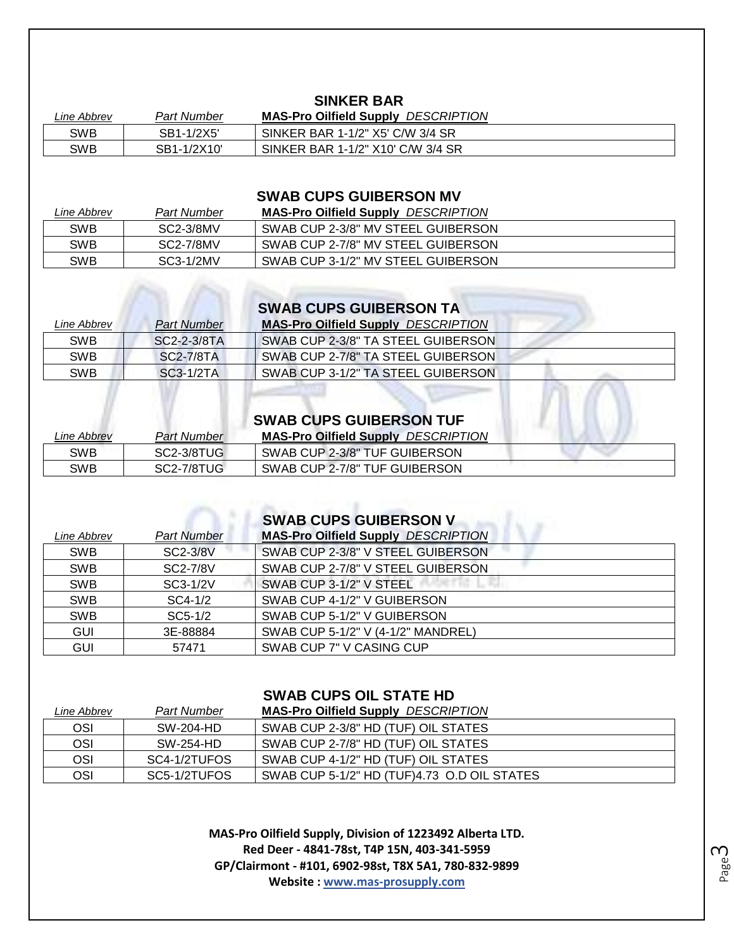#### **SINKER BAR**

| Line Abbrev | Part Number | <b>MAS-Pro Oilfield Supply DESCRIPTION</b> |
|-------------|-------------|--------------------------------------------|
| SWB         | SB1-1/2X5   | SINKER BAR 1-1/2" X5' C/W 3/4 SR           |
| SWB         | SB1-1/2X10' | SINKER BAR 1-1/2" X10' C/W 3/4 SR          |

#### **SWAB CUPS GUIBERSON MV**

| Line Abbrev | <b>Part Number</b> | <b>MAS-Pro Oilfield Supply DESCRIPTION</b> |
|-------------|--------------------|--------------------------------------------|
| SWB         | SC2-3/8MV          | SWAB CUP 2-3/8" MV STEEL GUIBERSON         |
| SWB         | SC2-7/8MV          | SWAB CUP 2-7/8" MV STEEL GUIBERSON         |
| SWB         | SC3-1/2MV          | SWAB CUP 3-1/2" MV STEEL GUIBERSON         |

|  |  |  |  | <b>SWAB CUPS GUIBERSON TA</b> |
|--|--|--|--|-------------------------------|
|--|--|--|--|-------------------------------|

| Line Abbrev | <b>Part Number</b> | <b>MAS-Pro Oilfield Supply DESCRIPTION</b> |  |
|-------------|--------------------|--------------------------------------------|--|
| <b>SWB</b>  | SC2-2-3/8TA        | SWAB CUP 2-3/8" TA STEEL GUIBERSON         |  |
| <b>SWB</b>  | SC2-7/8TA          | SWAB CUP 2-7/8" TA STEEL GUIBERSON         |  |
| <b>SWB</b>  | SC3-1/2TA          | SWAB CUP 3-1/2" TA STEEL GUIBERSON         |  |
|             |                    |                                            |  |

# **SWAB CUPS GUIBERSON TUF**

| Line Abbrev | Part Number | <b>MAS-Pro Oilfield Supply DESCRIPTION</b> |
|-------------|-------------|--------------------------------------------|
| SWB         | SC2-3/8TUG  | SWAB CUP 2-3/8" TUF GUIBERSON              |
| SWB         | SC2-7/8TUG  | SWAB CUP 2-7/8" TUF GUIBERSON              |

# **SWAB CUPS GUIBERSON V**

| Line Abbrev | <b>Part Number</b> | <b>MAS-Pro Oilfield Supply DESCRIPTION</b> |
|-------------|--------------------|--------------------------------------------|
| <b>SWB</b>  | SC2-3/8V           | SWAB CUP 2-3/8" V STEEL GUIBERSON          |
| <b>SWB</b>  | SC2-7/8V           | SWAB CUP 2-7/8" V STEEL GUIBERSON          |
| <b>SWB</b>  | SC3-1/2V           | SWAB CUP 3-1/2" V STEEL                    |
| <b>SWB</b>  | $SC4-1/2$          | SWAB CUP 4-1/2" V GUIBERSON                |
| <b>SWB</b>  | $SC5-1/2$          | SWAB CUP 5-1/2" V GUIBERSON                |
| <b>GUI</b>  | 3E-88884           | SWAB CUP 5-1/2" V (4-1/2" MANDREL)         |
| <b>GUI</b>  | 57471              | SWAB CUP 7" V CASING CUP                   |

#### **SWAB CUPS OIL STATE HD**

| Line Abbrev | <b>Part Number</b> | <b>MAS-Pro Oilfield Supply DESCRIPTION</b>  |
|-------------|--------------------|---------------------------------------------|
| <b>OSI</b>  | SW-204-HD          | SWAB CUP 2-3/8" HD (TUF) OIL STATES         |
| OSI         | SW-254-HD          | SWAB CUP 2-7/8" HD (TUF) OIL STATES         |
| OSI         | SC4-1/2TUFOS       | SWAB CUP 4-1/2" HD (TUF) OIL STATES         |
| OSI         | SC5-1/2TUFOS       | SWAB CUP 5-1/2" HD (TUF)4.73 O.D OIL STATES |

**MAS-Pro Oilfield Supply, Division of 1223492 Alberta LTD. Red Deer - 4841-78st, T4P 15N, 403-341-5959 GP/Clairmont - #101, 6902-98st, T8X 5A1, 780-832-9899 Website : www.mas-prosupply.com**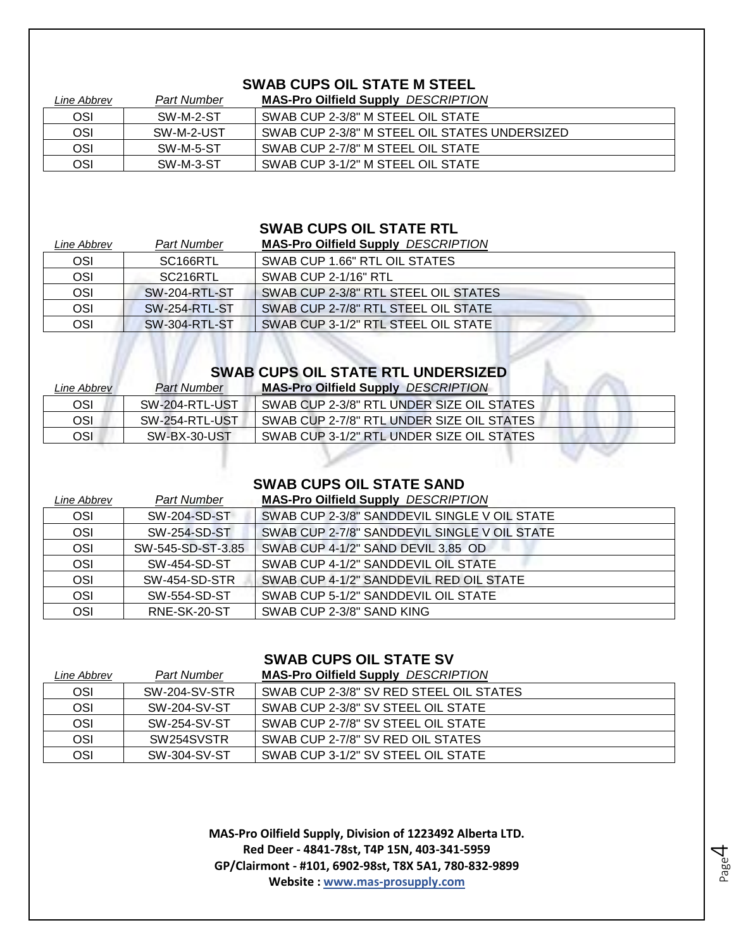#### **SWAB CUPS OIL STATE M STEEL**

| Line Abbrev | <b>Part Number</b> | <b>MAS-Pro Oilfield Supply DESCRIPTION</b>    |
|-------------|--------------------|-----------------------------------------------|
| OSI         | SW-M-2-ST          | SWAB CUP 2-3/8" M STEEL OIL STATE             |
| OSI         | SW-M-2-UST         | SWAB CUP 2-3/8" M STEEL OIL STATES UNDERSIZED |
| OSI         | SW-M-5-ST          | SWAB CUP 2-7/8" M STEEL OIL STATE             |
| OSI         | SW-M-3-ST          | SWAB CUP 3-1/2" M STEEL OIL STATE             |

#### **SWAB CUPS OIL STATE RTL**

| Line Abbrev | Part Number           | <b>MAS-Pro Oilfield Supply DESCRIPTION</b> |
|-------------|-----------------------|--------------------------------------------|
| OSI         | SC <sub>166</sub> RTL | SWAB CUP 1.66" RTL OIL STATES              |
| OSI         | SC216RTL              | SWAB CUP 2-1/16" RTL                       |
| <b>OSI</b>  | <b>SW-204-RTL-ST</b>  | SWAB CUP 2-3/8" RTL STEEL OIL STATES       |
| <b>OSI</b>  | <b>SW-254-RTL-ST</b>  | SWAB CUP 2-7/8" RTL STEEL OIL STATE        |
| OSI         | SW-304-RTL-ST         | SWAB CUP 3-1/2" RTL STEEL OIL STATE        |

# **SWAB CUPS OIL STATE RTL UNDERSIZED**

| Line Abbrev | <b>Part Number</b> | <b>MAS-Pro Oilfield Supply DESCRIPTION</b> |
|-------------|--------------------|--------------------------------------------|
| OSI         | SW-204-RTL-UST     | SWAB CUP 2-3/8" RTL UNDER SIZE OIL STATES  |
| OSI.        | SW-254-RTL-UST     | SWAB CUP 2-7/8" RTL UNDER SIZE OIL STATES  |
| OSI         | SW-BX-30-UST       | SWAB CUP 3-1/2" RTL UNDER SIZE OIL STATES  |

#### **SWAB CUPS OIL STATE SAND**

| Line Abbrev | <b>Part Number</b> | <b>MAS-Pro Oilfield Supply DESCRIPTION</b>   |
|-------------|--------------------|----------------------------------------------|
| OSI         | SW-204-SD-ST       | SWAB CUP 2-3/8" SANDDEVIL SINGLE V OIL STATE |
| OSI         | SW-254-SD-ST       | SWAB CUP 2-7/8" SANDDEVIL SINGLE V OIL STATE |
| OSI         | SW-545-SD-ST-3.85  | SWAB CUP 4-1/2" SAND DEVIL 3.85 OD           |
| OSI         | SW-454-SD-ST       | SWAB CUP 4-1/2" SANDDEVIL OIL STATE          |
| OSI         | SW-454-SD-STR      | SWAB CUP 4-1/2" SANDDEVIL RED OIL STATE      |
| OSI         | SW-554-SD-ST       | SWAB CUP 5-1/2" SANDDEVIL OIL STATE          |
| OSI         | RNE-SK-20-ST       | SWAB CUP 2-3/8" SAND KING                    |

#### **SWAB CUPS OIL STATE SV**

| Line Abbrev | <b>Part Number</b> | <b>MAS-Pro Oilfield Supply DESCRIPTION</b> |
|-------------|--------------------|--------------------------------------------|
| OSI         | SW-204-SV-STR      | SWAB CUP 2-3/8" SV RED STEEL OIL STATES    |
| OSI         | SW-204-SV-ST       | SWAB CUP 2-3/8" SV STEEL OIL STATE         |
| OSI         | SW-254-SV-ST       | SWAB CUP 2-7/8" SV STEEL OIL STATE         |
| OSI         | SW254SVSTR         | SWAB CUP 2-7/8" SV RED OIL STATES          |
| OSI         | SW-304-SV-ST       | SWAB CUP 3-1/2" SV STEEL OIL STATE         |

**MAS-Pro Oilfield Supply, Division of 1223492 Alberta LTD. Red Deer - 4841-78st, T4P 15N, 403-341-5959 GP/Clairmont - #101, 6902-98st, T8X 5A1, 780-832-9899 Website : www.mas-prosupply.com**

Page 4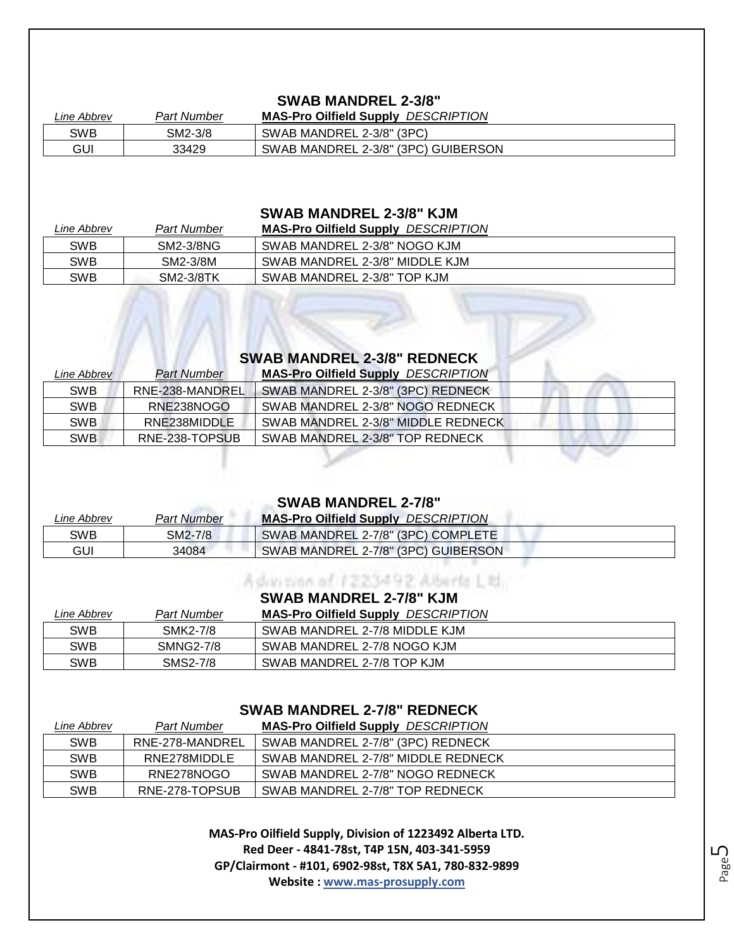#### **SWAB MANDREL 2-3/8"**

| Line Abbrev | <b>Part Number</b> | <i>DESCRIPTION</i><br><b>MAS-Pro Oilfield Supply</b> |
|-------------|--------------------|------------------------------------------------------|
| SWB         | SM2-3/8            | SWAB MANDREL 2-3/8" (3PC)                            |
| GUI         | 33429              | SWAB MANDREL 2-3/8" (3PC) GUIBERSON                  |

#### **SWAB MANDREL 2-3/8" KJM**

| Line Abbrev | Part Number | <b>MAS-Pro Oilfield Supply DESCRIPTION</b> |
|-------------|-------------|--------------------------------------------|
| SWB         | SM2-3/8NG   | SWAB MANDREL 2-3/8" NOGO KJM               |
| SWB         | SM2-3/8M    | SWAB MANDREL 2-3/8" MIDDLE KJM             |
| SWB         | SM2-3/8TK   | SWAB MANDREL 2-3/8" TOP KJM                |

#### **SWAB MANDREL 2-3/8" REDNECK**

| Line Abbrev | Part Number     | <b>MAS-Pro Oilfield Supply DESCRIPTION</b> |
|-------------|-----------------|--------------------------------------------|
| <b>SWB</b>  | RNE-238-MANDREL | SWAB MANDREL 2-3/8" (3PC) REDNECK          |
| <b>SWB</b>  | RNE238NOGO      | SWAB MANDREL 2-3/8" NOGO REDNECK           |
| <b>SWB</b>  | RNE238MIDDLE    | SWAB MANDREL 2-3/8" MIDDLE REDNECK         |
| <b>SWB</b>  | RNE-238-TOPSUB  | SWAB MANDREL 2-3/8" TOP REDNECK            |

#### **SWAB MANDREL 2-7/8"**

| Line Abbrev | <b>Part Number</b> | <b>MAS-Pro Oilfield Supply DESCRIPTION</b> |
|-------------|--------------------|--------------------------------------------|
| <b>SWB</b>  | SM2-7/8            | SWAB MANDREL 2-7/8" (3PC) COMPLETE         |
| GUI         | 34084              | SWAB MANDREL 2-7/8" (3PC) GUIBERSON        |

#### **SWAB MANDREL 2-7/8" KJM**

Advision of 1223492 Alberta Ltd.

| Line Abbrev | <b>Part Number</b> | <b>MAS-Pro Oilfield Supply DESCRIPTION</b> |
|-------------|--------------------|--------------------------------------------|
| SWB         | SMK2-7/8           | SWAB MANDREL 2-7/8 MIDDLE KJM              |
| SWB         | <b>SMNG2-7/8</b>   | SWAB MANDREL 2-7/8 NOGO KJM                |
| SWB         | SMS2-7/8           | SWAB MANDREL 2-7/8 TOP KJM                 |

#### **SWAB MANDREL 2-7/8" REDNECK**

| Line Abbrev | <b>Part Number</b> | <b>MAS-Pro Oilfield Supply DESCRIPTION</b> |
|-------------|--------------------|--------------------------------------------|
| <b>SWB</b>  | RNE-278-MANDREL    | SWAB MANDREL 2-7/8" (3PC) REDNECK          |
| <b>SWB</b>  | RNE278MIDDLE       | SWAB MANDREL 2-7/8" MIDDLE REDNECK         |
| <b>SWB</b>  | RNE278NOGO         | SWAB MANDREL 2-7/8" NOGO REDNECK           |
| <b>SWB</b>  | RNE-278-TOPSUB     | SWAB MANDREL 2-7/8" TOP REDNECK            |

**MAS-Pro Oilfield Supply, Division of 1223492 Alberta LTD. Red Deer - 4841-78st, T4P 15N, 403-341-5959 GP/Clairmont - #101, 6902-98st, T8X 5A1, 780-832-9899 Website : www.mas-prosupply.com**

Page ഥ